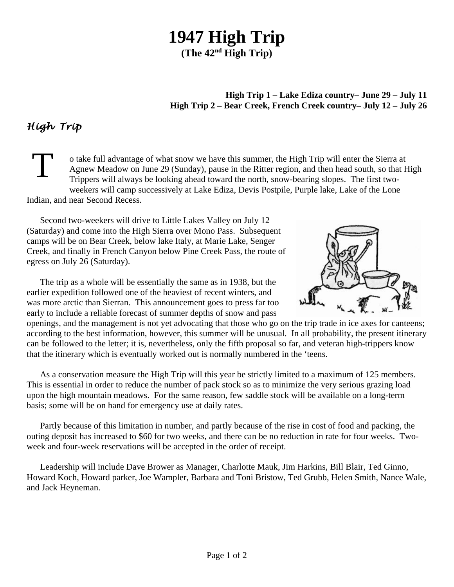## **1947 High Trip**

**(The 42nd High Trip)**

**High Trip 1 – Lake Ediza country– June 29 – July 11 High Trip 2 – Bear Creek, French Creek country– July 12 – July 26**

## *High Trip*

T o take full advantage of what snow we have this summer, the High Trip will enter the Sierra at Agnew Meadow on June 29 (Sunday), pause in the Ritter region, and then head south, so that High Trippers will always be looking ahead toward the north, snow-bearing slopes. The first twoweekers will camp successively at Lake Ediza, Devis Postpile, Purple lake, Lake of the Lone Indian, and near Second Recess.

Second two-weekers will drive to Little Lakes Valley on July 12 (Saturday) and come into the High Sierra over Mono Pass. Subsequent camps will be on Bear Creek, below lake Italy, at Marie Lake, Senger Creek, and finally in French Canyon below Pine Creek Pass, the route of egress on July 26 (Saturday).

The trip as a whole will be essentially the same as in 1938, but the earlier expedition followed one of the heaviest of recent winters, and was more arctic than Sierran. This announcement goes to press far too early to include a reliable forecast of summer depths of snow and pass



openings, and the management is not yet advocating that those who go on the trip trade in ice axes for canteens; according to the best information, however, this summer will be unusual. In all probability, the present itinerary can be followed to the letter; it is, nevertheless, only the fifth proposal so far, and veteran high-trippers know that the itinerary which is eventually worked out is normally numbered in the 'teens.

As a conservation measure the High Trip will this year be strictly limited to a maximum of 125 members. This is essential in order to reduce the number of pack stock so as to minimize the very serious grazing load upon the high mountain meadows. For the same reason, few saddle stock will be available on a long-term basis; some will be on hand for emergency use at daily rates.

Partly because of this limitation in number, and partly because of the rise in cost of food and packing, the outing deposit has increased to \$60 for two weeks, and there can be no reduction in rate for four weeks. Twoweek and four-week reservations will be accepted in the order of receipt.

Leadership will include Dave Brower as Manager, Charlotte Mauk, Jim Harkins, Bill Blair, Ted Ginno, Howard Koch, Howard parker, Joe Wampler, Barbara and Toni Bristow, Ted Grubb, Helen Smith, Nance Wale, and Jack Heyneman.